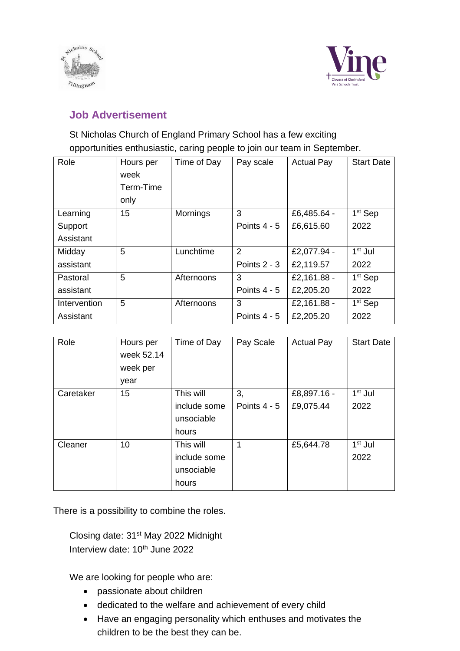



## **Job Advertisement**

## St Nicholas Church of England Primary School has a few exciting opportunities enthusiastic, caring people to join our team in September.

| Role         | Hours per<br>week<br>Term-Time | Time of Day     | Pay scale      | <b>Actual Pay</b> | <b>Start Date</b>   |
|--------------|--------------------------------|-----------------|----------------|-------------------|---------------------|
|              | only                           |                 |                |                   |                     |
| Learning     | 15                             | <b>Mornings</b> | 3              | £6,485.64 -       | 1 <sup>st</sup> Sep |
| Support      |                                |                 | Points $4 - 5$ | £6,615.60         | 2022                |
| Assistant    |                                |                 |                |                   |                     |
| Midday       | 5                              | Lunchtime       | 2              | £2,077.94 -       | $1st$ Jul           |
| assistant    |                                |                 | Points $2 - 3$ | £2,119.57         | 2022                |
| Pastoral     | 5                              | Afternoons      | 3              | £2,161.88 -       | 1 <sup>st</sup> Sep |
| assistant    |                                |                 | Points $4 - 5$ | £2,205.20         | 2022                |
| Intervention | 5                              | Afternoons      | 3              | £2,161.88 -       | 1 <sup>st</sup> Sep |
| Assistant    |                                |                 | Points $4 - 5$ | £2,205.20         | 2022                |

| Role      | Hours per<br>week 52.14<br>week per<br>year | Time of Day                                      | Pay Scale            | <b>Actual Pay</b>        | <b>Start Date</b> |
|-----------|---------------------------------------------|--------------------------------------------------|----------------------|--------------------------|-------------------|
| Caretaker | 15 <sub>2</sub>                             | This will<br>include some<br>unsociable<br>hours | 3,<br>Points $4 - 5$ | £8,897.16 -<br>£9,075.44 | $1st$ Jul<br>2022 |
| Cleaner   | 10                                          | This will<br>include some<br>unsociable<br>hours | 1                    | £5,644.78                | $1st$ Jul<br>2022 |

There is a possibility to combine the roles.

Closing date: 31st May 2022 Midnight Interview date: 10<sup>th</sup> June 2022

We are looking for people who are:

- passionate about children
- dedicated to the welfare and achievement of every child
- Have an engaging personality which enthuses and motivates the children to be the best they can be.